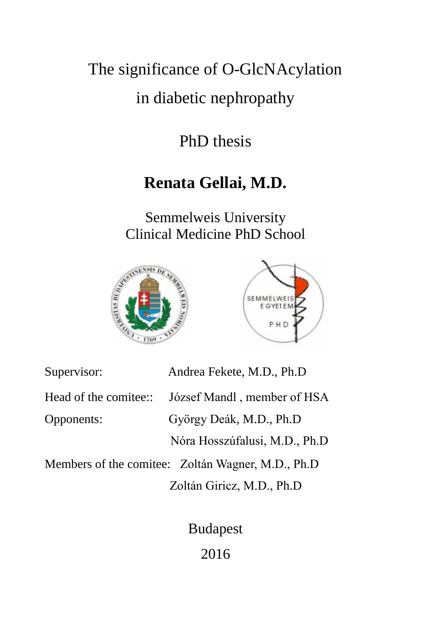# The significance of O-GlcNAcylation

## in diabetic nephropathy

## PhD thesis

# **Renata Gellai, M.D.**

Semmelweis University Clinical Medicine PhD School





| Supervisor:           | Andrea Fekete, M.D., Ph.D                          |
|-----------------------|----------------------------------------------------|
| Head of the comitee:: | József Mandl, member of HSA                        |
| Opponents:            | György Deák, M.D., Ph.D                            |
|                       | Nóra Hosszúfalusi, M.D., Ph.D.                     |
|                       | Members of the comitee: Zoltán Wagner, M.D., Ph.D. |
|                       |                                                    |

Zoltán Giricz, M.D., Ph.D

Budapest 2016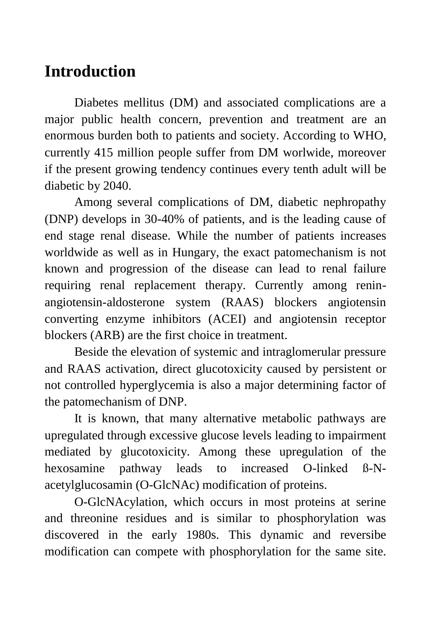# **Introduction**

Diabetes mellitus (DM) and associated complications are a major public health concern, prevention and treatment are an enormous burden both to patients and society. According to WHO, currently 415 million people suffer from DM worlwide, moreover if the present growing tendency continues every tenth adult will be diabetic by 2040.

Among several complications of DM, diabetic nephropathy (DNP) develops in 30-40% of patients, and is the leading cause of end stage renal disease. While the number of patients increases worldwide as well as in Hungary, the exact patomechanism is not known and progression of the disease can lead to renal failure requiring renal replacement therapy. Currently among reninangiotensin-aldosterone system (RAAS) blockers angiotensin converting enzyme inhibitors (ACEI) and angiotensin receptor blockers (ARB) are the first choice in treatment.

Beside the elevation of systemic and intraglomerular pressure and RAAS activation, direct glucotoxicity caused by persistent or not controlled hyperglycemia is also a major determining factor of the patomechanism of DNP.

It is known, that many alternative metabolic pathways are upregulated through excessive glucose levels leading to impairment mediated by glucotoxicity. Among these upregulation of the hexosamine pathway leads to increased O-linked ß-Nacetylglucosamin (O-GlcNAc) modification of proteins.

O-GlcNAcylation, which occurs in most proteins at serine and threonine residues and is similar to phosphorylation was discovered in the early 1980s. This dynamic and reversibe modification can compete with phosphorylation for the same site.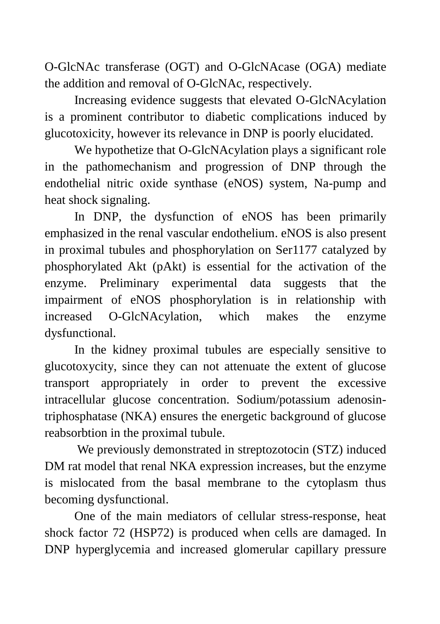O-GlcNAc transferase (OGT) and O-GlcNAcase (OGA) mediate the addition and removal of O-GlcNAc, respectively.

Increasing evidence suggests that elevated O-GlcNAcylation is a prominent contributor to diabetic complications induced by glucotoxicity, however its relevance in DNP is poorly elucidated.

We hypothetize that O-GlcNAcylation plays a significant role in the pathomechanism and progression of DNP through the endothelial nitric oxide synthase (eNOS) system, Na-pump and heat shock signaling.

In DNP, the dysfunction of eNOS has been primarily emphasized in the renal vascular endothelium. eNOS is also present in proximal tubules and phosphorylation on Ser1177 catalyzed by phosphorylated Akt (pAkt) is essential for the activation of the enzyme. Preliminary experimental data suggests that the impairment of eNOS phosphorylation is in relationship with increased O-GlcNAcylation, which makes the enzyme dysfunctional.

In the kidney proximal tubules are especially sensitive to glucotoxycity, since they can not attenuate the extent of glucose transport appropriately in order to prevent the excessive intracellular glucose concentration. Sodium/potassium adenosintriphosphatase (NKA) ensures the energetic background of glucose reabsorbtion in the proximal tubule.

We previously demonstrated in streptozotocin (STZ) induced DM rat model that renal NKA expression increases, but the enzyme is mislocated from the basal membrane to the cytoplasm thus becoming dysfunctional.

One of the main mediators of cellular stress-response, heat shock factor 72 (HSP72) is produced when cells are damaged. In DNP hyperglycemia and increased glomerular capillary pressure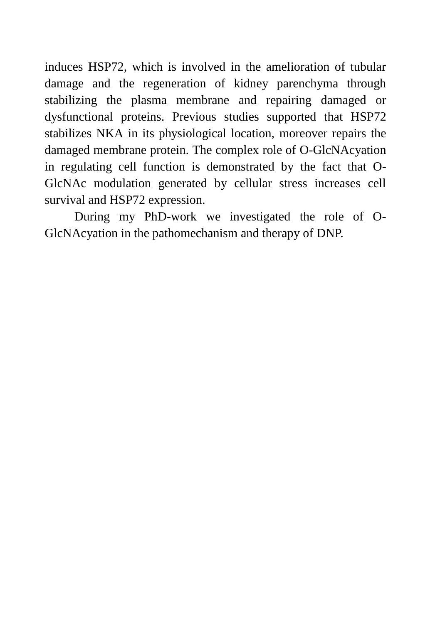induces HSP72, which is involved in the amelioration of tubular damage and the regeneration of kidney parenchyma through stabilizing the plasma membrane and repairing damaged or dysfunctional proteins. Previous studies supported that HSP72 stabilizes NKA in its physiological location, moreover repairs the damaged membrane protein. The complex role of O-GlcNAcyation in regulating cell function is demonstrated by the fact that O-GlcNAc modulation generated by cellular stress increases cell survival and HSP72 expression.

During my PhD-work we investigated the role of O-GlcNAcyation in the pathomechanism and therapy of DNP.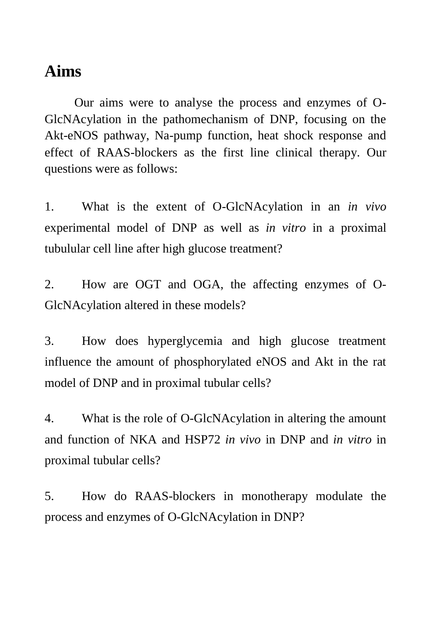## **Aims**

Our aims were to analyse the process and enzymes of O-GlcNAcylation in the pathomechanism of DNP, focusing on the Akt-eNOS pathway, Na-pump function, heat shock response and effect of RAAS-blockers as the first line clinical therapy. Our questions were as follows:

1. What is the extent of O-GlcNAcylation in an *in vivo* experimental model of DNP as well as *in vitro* in a proximal tubulular cell line after high glucose treatment?

2. How are OGT and OGA, the affecting enzymes of O-GlcNAcylation altered in these models?

3. How does hyperglycemia and high glucose treatment influence the amount of phosphorylated eNOS and Akt in the rat model of DNP and in proximal tubular cells?

4. What is the role of O-GlcNAcylation in altering the amount and function of NKA and HSP72 *in vivo* in DNP and *in vitro* in proximal tubular cells?

5. How do RAAS-blockers in monotherapy modulate the process and enzymes of O-GlcNAcylation in DNP?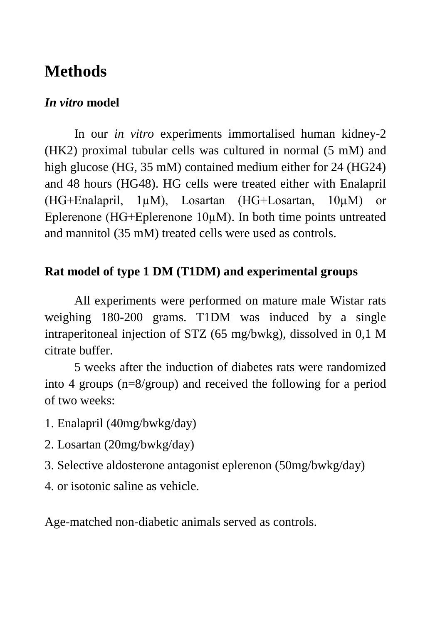## **Methods**

### *In vitro* **model**

In our *in vitro* experiments immortalised human kidney-2 (HK2) proximal tubular cells was cultured in normal (5 mM) and high glucose (HG, 35 mM) contained medium either for 24 (HG24) and 48 hours (HG48). HG cells were treated either with Enalapril (HG+Enalapril, 1µM), Losartan (HG+Losartan, 10µM) or Eplerenone (HG+Eplerenone 10µM). In both time points untreated and mannitol (35 mM) treated cells were used as controls.

### **Rat model of type 1 DM (T1DM) and experimental groups**

All experiments were performed on mature male Wistar rats weighing 180-200 grams. T1DM was induced by a single intraperitoneal injection of STZ (65 mg/bwkg), dissolved in 0,1 M citrate buffer.

5 weeks after the induction of diabetes rats were randomized into 4 groups (n=8/group) and received the following for a period of two weeks:

1. Enalapril (40mg/bwkg/day)

- 2. Losartan (20mg/bwkg/day)
- 3. Selective aldosterone antagonist eplerenon (50mg/bwkg/day)
- 4. or isotonic saline as vehicle.

Age-matched non-diabetic animals served as controls.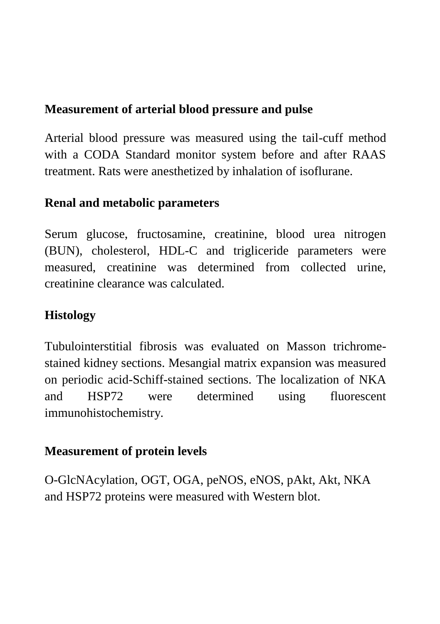### **Measurement of arterial blood pressure and pulse**

Arterial blood pressure was measured using the tail-cuff method with a CODA Standard monitor system before and after RAAS treatment. Rats were anesthetized by inhalation of isoflurane.

### **Renal and metabolic parameters**

Serum glucose, fructosamine, creatinine, blood urea nitrogen (BUN), cholesterol, HDL-C and trigliceride parameters were measured, creatinine was determined from collected urine, creatinine clearance was calculated.

### **Histology**

Tubulointerstitial fibrosis was evaluated on Masson trichromestained kidney sections. Mesangial matrix expansion was measured on periodic acid-Schiff-stained sections. The localization of NKA and HSP72 were determined using fluorescent immunohistochemistry.

### **Measurement of protein levels**

O-GlcNAcylation, OGT, OGA, peNOS, eNOS, pAkt, Akt, NKA and HSP72 proteins were measured with Western blot.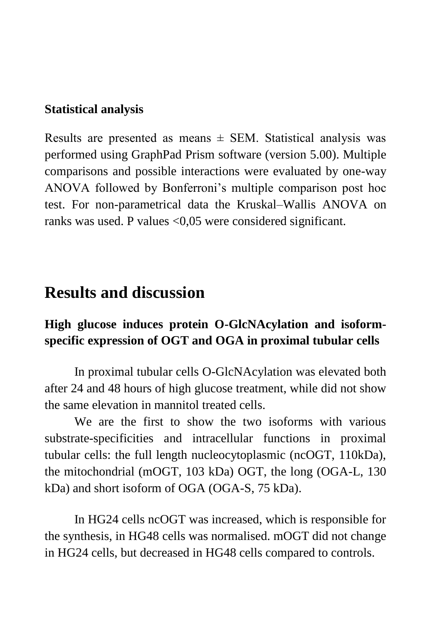#### **Statistical analysis**

Results are presented as means  $\pm$  SEM. Statistical analysis was performed using GraphPad Prism software (version 5.00). Multiple comparisons and possible interactions were evaluated by one-way ANOVA followed by Bonferroni's multiple comparison post hoc test. For non-parametrical data the Kruskal–Wallis ANOVA on ranks was used. P values <0,05 were considered significant.

## **Results and discussion**

### **High glucose induces protein O-GlcNAcylation and isoformspecific expression of OGT and OGA in proximal tubular cells**

In proximal tubular cells O-GlcNAcylation was elevated both after 24 and 48 hours of high glucose treatment, while did not show the same elevation in mannitol treated cells.

We are the first to show the two isoforms with various substrate-specificities and intracellular functions in proximal tubular cells: the full length nucleocytoplasmic (ncOGT, 110kDa), the mitochondrial (mOGT, 103 kDa) OGT, the long (OGA-L, 130 kDa) and short isoform of OGA (OGA-S, 75 kDa).

In HG24 cells ncOGT was increased, which is responsible for the synthesis, in HG48 cells was normalised. mOGT did not change in HG24 cells, but decreased in HG48 cells compared to controls.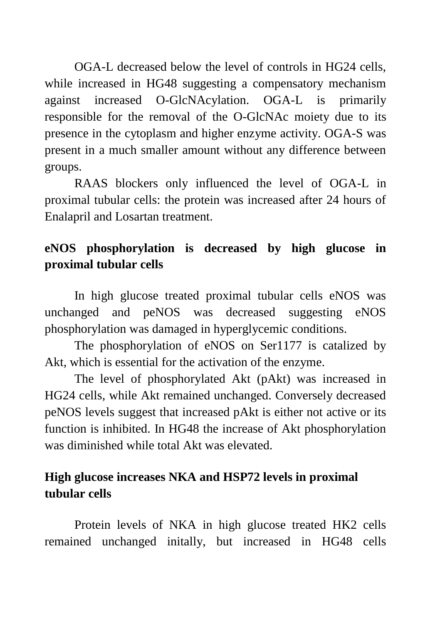OGA-L decreased below the level of controls in HG24 cells, while increased in HG48 suggesting a compensatory mechanism against increased O-GlcNAcylation. OGA-L is primarily responsible for the removal of the O-GlcNAc moiety due to its presence in the cytoplasm and higher enzyme activity. OGA-S was present in a much smaller amount without any difference between groups.

RAAS blockers only influenced the level of OGA-L in proximal tubular cells: the protein was increased after 24 hours of Enalapril and Losartan treatment.

### **eNOS phosphorylation is decreased by high glucose in proximal tubular cells**

In high glucose treated proximal tubular cells eNOS was unchanged and peNOS was decreased suggesting eNOS phosphorylation was damaged in hyperglycemic conditions.

The phosphorylation of eNOS on Ser1177 is catalized by Akt, which is essential for the activation of the enzyme.

The level of phosphorylated Akt (pAkt) was increased in HG24 cells, while Akt remained unchanged. Conversely decreased peNOS levels suggest that increased pAkt is either not active or its function is inhibited. In HG48 the increase of Akt phosphorylation was diminished while total Akt was elevated.

### **High glucose increases NKA and HSP72 levels in proximal tubular cells**

Protein levels of NKA in high glucose treated HK2 cells remained unchanged initally, but increased in HG48 cells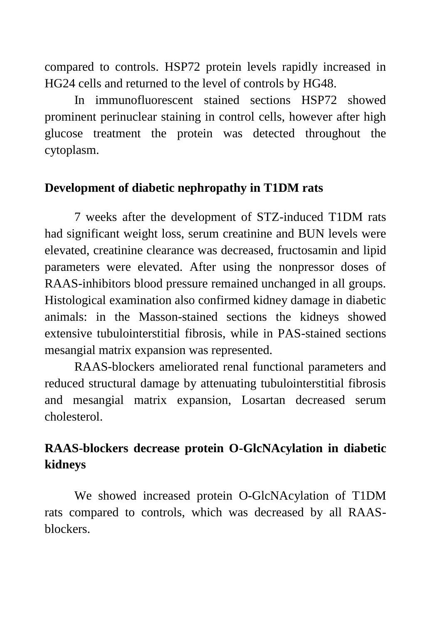compared to controls. HSP72 protein levels rapidly increased in HG24 cells and returned to the level of controls by HG48.

In immunofluorescent stained sections HSP72 showed prominent perinuclear staining in control cells, however after high glucose treatment the protein was detected throughout the cytoplasm.

#### **Development of diabetic nephropathy in T1DM rats**

7 weeks after the development of STZ-induced T1DM rats had significant weight loss, serum creatinine and BUN levels were elevated, creatinine clearance was decreased, fructosamin and lipid parameters were elevated. After using the nonpressor doses of RAAS-inhibitors blood pressure remained unchanged in all groups. Histological examination also confirmed kidney damage in diabetic animals: in the Masson-stained sections the kidneys showed extensive tubulointerstitial fibrosis, while in PAS-stained sections mesangial matrix expansion was represented.

RAAS-blockers ameliorated renal functional parameters and reduced structural damage by attenuating tubulointerstitial fibrosis and mesangial matrix expansion, Losartan decreased serum cholesterol.

### **RAAS-blockers decrease protein O-GlcNAcylation in diabetic kidneys**

We showed increased protein O-GlcNAcylation of T1DM rats compared to controls, which was decreased by all RAASblockers.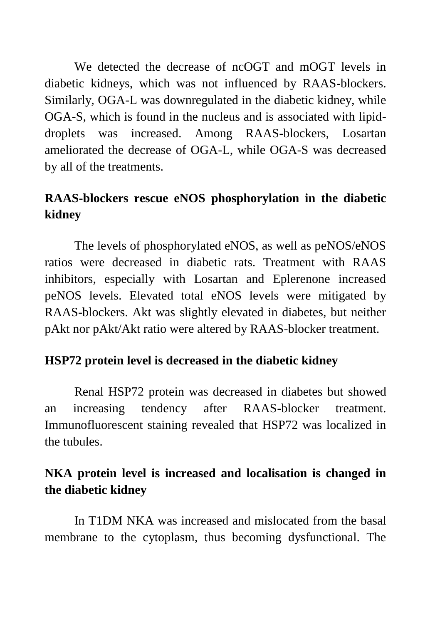We detected the decrease of ncOGT and mOGT levels in diabetic kidneys, which was not influenced by RAAS-blockers. Similarly, OGA-L was downregulated in the diabetic kidney, while OGA-S, which is found in the nucleus and is associated with lipiddroplets was increased. Among RAAS-blockers, Losartan ameliorated the decrease of OGA-L, while OGA-S was decreased by all of the treatments.

### **RAAS-blockers rescue eNOS phosphorylation in the diabetic kidney**

The levels of phosphorylated eNOS, as well as peNOS/eNOS ratios were decreased in diabetic rats. Treatment with RAAS inhibitors, especially with Losartan and Eplerenone increased peNOS levels. Elevated total eNOS levels were mitigated by RAAS-blockers. Akt was slightly elevated in diabetes, but neither pAkt nor pAkt/Akt ratio were altered by RAAS-blocker treatment.

#### **HSP72 protein level is decreased in the diabetic kidney**

Renal HSP72 protein was decreased in diabetes but showed an increasing tendency after RAAS-blocker treatment. Immunofluorescent staining revealed that HSP72 was localized in the tubules.

### **NKA protein level is increased and localisation is changed in the diabetic kidney**

In T1DM NKA was increased and mislocated from the basal membrane to the cytoplasm, thus becoming dysfunctional. The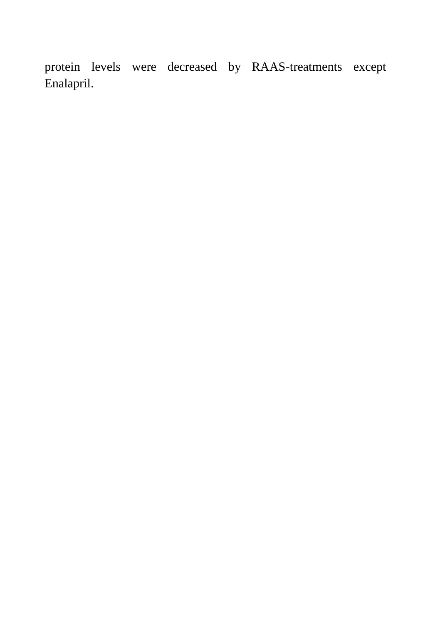protein levels were decreased by RAAS-treatments except Enalapril.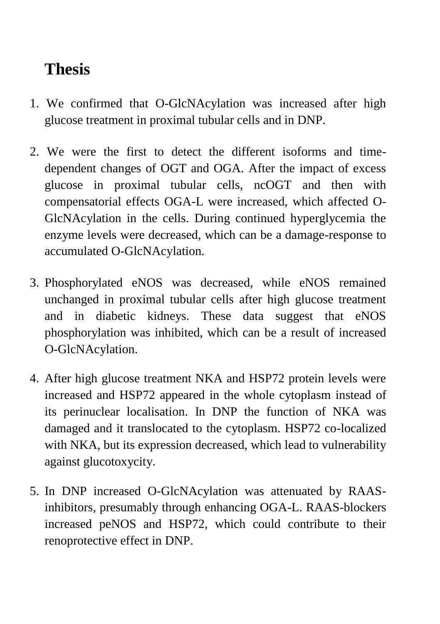# **Thesis**

- 1. We confirmed that O-GlcNAcylation was increased after high glucose treatment in proximal tubular cells and in DNP.
- 2. We were the first to detect the different isoforms and timedependent changes of OGT and OGA. After the impact of excess glucose in proximal tubular cells, ncOGT and then with compensatorial effects OGA-L were increased, which affected O-GlcNAcylation in the cells. During continued hyperglycemia the enzyme levels were decreased, which can be a damage-response to accumulated O-GlcNAcylation.
- 3. Phosphorylated eNOS was decreased, while eNOS remained unchanged in proximal tubular cells after high glucose treatment and in diabetic kidneys. These data suggest that eNOS phosphorylation was inhibited, which can be a result of increased O-GlcNAcylation.
- 4. After high glucose treatment NKA and HSP72 protein levels were increased and HSP72 appeared in the whole cytoplasm instead of its perinuclear localisation. In DNP the function of NKA was damaged and it translocated to the cytoplasm. HSP72 co-localized with NKA, but its expression decreased, which lead to vulnerability against glucotoxycity.
- 5. In DNP increased O-GlcNAcylation was attenuated by RAASinhibitors, presumably through enhancing OGA-L. RAAS-blockers increased peNOS and HSP72, which could contribute to their renoprotective effect in DNP.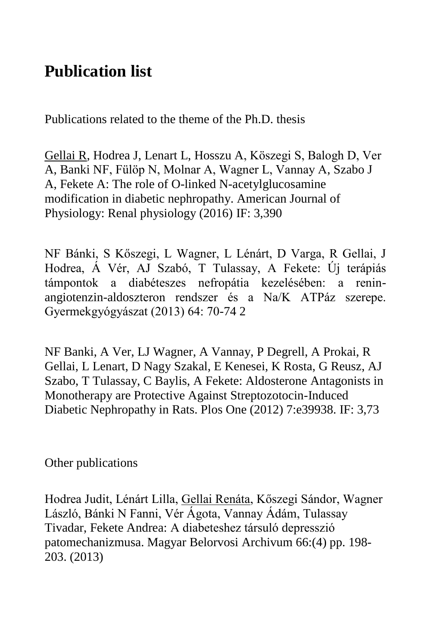# **Publication list**

Publications related to the theme of the Ph.D. thesis

Gellai R, Hodrea J, Lenart L, Hosszu A, Köszegi S, Balogh D, Ver A, Banki NF, Fülöp N, Molnar A, Wagner L, Vannay A, Szabo J A, Fekete A: The role of O-linked N-acetylglucosamine modification in diabetic nephropathy. American Journal of Physiology: Renal physiology (2016) IF: 3,390

NF Bánki, S Kőszegi, L Wagner, L Lénárt, D Varga, R Gellai, J Hodrea, Á Vér, AJ Szabó, T Tulassay, A Fekete: Új terápiás támpontok a diabéteszes nefropátia kezelésében: a reninangiotenzin-aldoszteron rendszer és a Na/K ATPáz szerepe. Gyermekgyógyászat (2013) 64: 70-74 2

NF Banki, A Ver, LJ Wagner, A Vannay, P Degrell, A Prokai, R Gellai, L Lenart, D Nagy Szakal, E Kenesei, K Rosta, G Reusz, AJ Szabo, T Tulassay, C Baylis, A Fekete: Aldosterone Antagonists in Monotherapy are Protective Against Streptozotocin-Induced Diabetic Nephropathy in Rats. Plos One (2012) 7:e39938. IF: 3,73

Other publications

Hodrea Judit, Lénárt Lilla, Gellai Renáta, Kőszegi Sándor, Wagner László, Bánki N Fanni, Vér Ágota, Vannay Ádám, Tulassay Tivadar, Fekete Andrea: A diabeteshez társuló depresszió patomechanizmusa. Magyar Belorvosi Archivum 66:(4) pp. 198- 203. (2013)